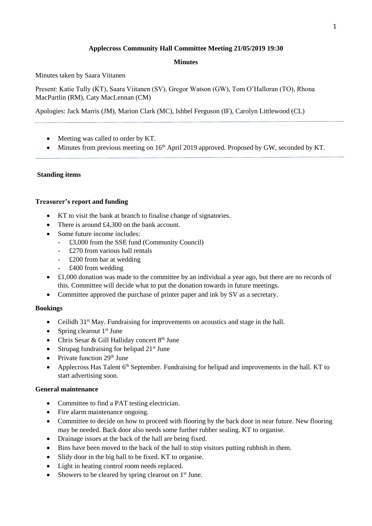# **Applecross Community Hall Committee Meeting 21/05/2019 19:30**

## **Minutes**

Minutes taken by Saara Viitanen

Present: Katie Tully (KT), Saara Viitanen (SV), Gregor Watson (GW), Tom O'Halloran (TO), Rhona MacPartlin (RM), Caty MacLennan (CM)

Apologies: Jack Marris (JM), Marion Clark (MC), Ishbel Ferguson (IF), Carolyn Littlewood (CL)

- Meeting was called to order by KT.
- Minutes from previous meeting on  $16<sup>th</sup>$  April 2019 approved. Proposed by GW, seconded by KT.

## **Standing items**

### **Treasurer's report and funding**

- KT to visit the bank at branch to finalise change of signatories.
- There is around £4,300 on the bank account.
- Some future income includes:
	- £3,000 from the SSE fund (Community Council)
	- £270 from various hall rentals
	- £200 from bar at wedding
	- £400 from wedding
- £1,000 donation was made to the committee by an individual a year ago, but there are no records of this. Committee will decide what to put the donation towards in future meetings.
- Committee approved the purchase of printer paper and ink by SV as a secretary.

#### **Bookings**

- Ceilidh  $31<sup>st</sup>$  May. Fundraising for improvements on acoustics and stage in the hall.
- Spring clearout  $1<sup>st</sup>$  June
- Chris Sesar & Gill Halliday concert  $8<sup>th</sup>$  June
- Strupag fundraising for helipad  $21^{st}$  June
- Private function  $29<sup>th</sup>$  June
- Applecross Has Talent 6<sup>th</sup> September. Fundraising for helipad and improvements in the hall. KT to start advertising soon.

## **General maintenance**

- Committee to find a PAT testing electrician.
- Fire alarm maintenance ongoing.
- Committee to decide on how to proceed with flooring by the back door in near future. New flooring may be needed. Back door also needs some further rubber sealing. KT to organise.
- Drainage issues at the back of the hall are being fixed.
- Bins have been moved to the back of the hall to stop visitors putting rubbish in them.
- Slidy door in the big hall to be fixed. KT to organise.
- Light in heating control room needs replaced.
- Showers to be cleared by spring clearout on  $1<sup>st</sup>$  June.